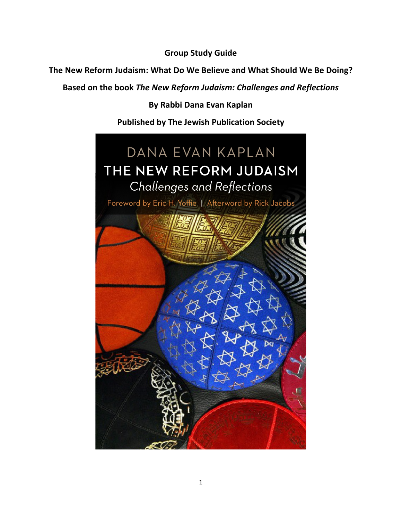**Group Study Guide** 

The New Reform Judaism: What Do We Believe and What Should We Be Doing?

Based on the book The New Reform Judaism: Challenges and Reflections

**By Rabbi Dana Evan Kaplan**

**Published by The Jewish Publication Society**

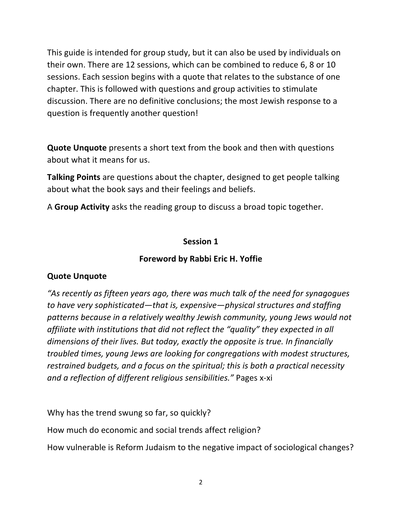This guide is intended for group study, but it can also be used by individuals on their own. There are 12 sessions, which can be combined to reduce 6, 8 or 10 sessions. Each session begins with a quote that relates to the substance of one chapter. This is followed with questions and group activities to stimulate discussion. There are no definitive conclusions; the most Jewish response to a question is frequently another question!

**Quote Unquote** presents a short text from the book and then with questions about what it means for us.

Talking Points are questions about the chapter, designed to get people talking about what the book says and their feelings and beliefs.

A Group Activity asks the reading group to discuss a broad topic together.

#### **Session 1**

#### **Foreword by Rabbi Eric H. Yoffie**

#### **Quote Unquote**

*"As recently as fifteen years ago, there was much talk of the need for synagogues to have very sophisticated—that is, expensive—physical structures and staffing* patterns because in a relatively wealthy Jewish community, young Jews would not *affiliate* with institutions that did not reflect the "quality" they expected in all dimensions of their lives. But today, exactly the opposite is true. In financially *troubled times, young Jews are looking for congregations with modest structures, restrained budgets, and a focus on the spiritual; this is both a practical necessity* and a reflection of different religious sensibilities." Pages x-xi

Why has the trend swung so far, so quickly?

How much do economic and social trends affect religion?

How vulnerable is Reform Judaism to the negative impact of sociological changes?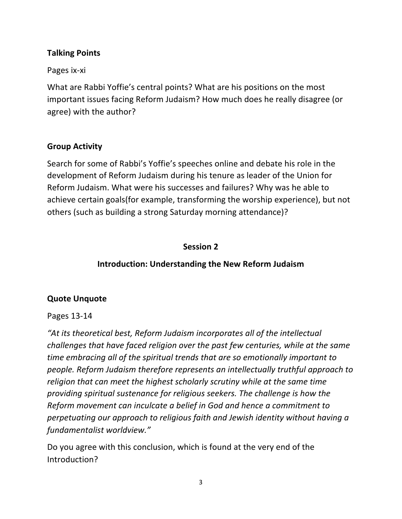### **Talking Points**

Pages ix-xi

What are Rabbi Yoffie's central points? What are his positions on the most important issues facing Reform Judaism? How much does he really disagree (or agree) with the author?

#### **Group Activity**

Search for some of Rabbi's Yoffie's speeches online and debate his role in the development of Reform Judaism during his tenure as leader of the Union for Reform Judaism. What were his successes and failures? Why was he able to achieve certain goals(for example, transforming the worship experience), but not others (such as building a strong Saturday morning attendance)?

#### **Session 2**

### **Introduction: Understanding the New Reform Judaism**

#### **Quote Unquote**

#### Pages 13-14

"At its theoretical best, Reform Judaism incorporates all of the intellectual *challenges that have faced religion over the past few centuries, while at the same time embracing all of the spiritual trends that are so emotionally important to people.* Reform Judaism therefore represents an intellectually truthful approach to *religion* that can meet the highest scholarly scrutiny while at the same time providing spiritual sustenance for religious seekers. The challenge is how the *Reform movement can inculcate a belief in God and hence a commitment to* perpetuating our approach to religious faith and Jewish identity without having a *fundamentalist worldview."*

Do you agree with this conclusion, which is found at the very end of the Introduction?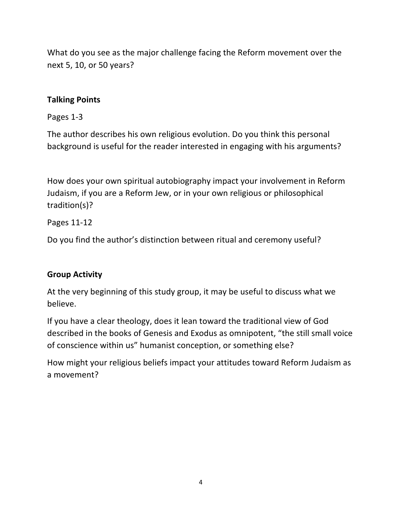What do you see as the major challenge facing the Reform movement over the next 5, 10, or 50 years?

### **Talking Points**

#### Pages 1-3

The author describes his own religious evolution. Do you think this personal background is useful for the reader interested in engaging with his arguments?

How does your own spiritual autobiography impact your involvement in Reform Judaism, if you are a Reform Jew, or in your own religious or philosophical tradition(s)?

### Pages 11-12

Do you find the author's distinction between ritual and ceremony useful?

## **Group Activity**

At the very beginning of this study group, it may be useful to discuss what we believe.

If you have a clear theology, does it lean toward the traditional view of God described in the books of Genesis and Exodus as omnipotent, "the still small voice of conscience within us" humanist conception, or something else?

How might your religious beliefs impact your attitudes toward Reform Judaism as a movement?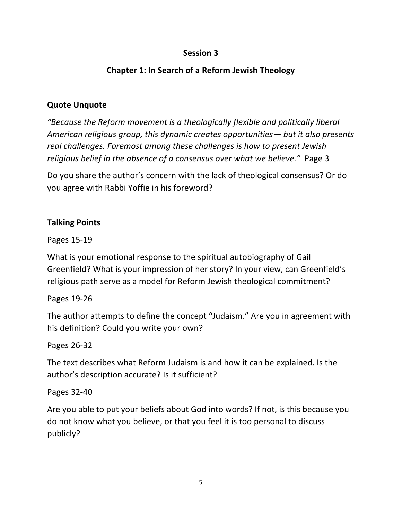# **Chapter 1: In Search of a Reform Jewish Theology**

### **Quote Unquote**

*"Because the Reform movement is a theologically flexible and politically liberal American religious group, this dynamic creates opportunities— but it also presents* real challenges. Foremost among these challenges is how to present Jewish *religious belief in the absence of a consensus over what we believe.*" Page 3

Do you share the author's concern with the lack of theological consensus? Or do you agree with Rabbi Yoffie in his foreword?

### **Talking Points**

Pages 15-19 

What is your emotional response to the spiritual autobiography of Gail Greenfield? What is your impression of her story? In your view, can Greenfield's religious path serve as a model for Reform Jewish theological commitment?

Pages 19-26 

The author attempts to define the concept "Judaism." Are you in agreement with his definition? Could you write your own?

Pages 26-32 

The text describes what Reform Judaism is and how it can be explained. Is the author's description accurate? Is it sufficient?

Pages 32-40 

Are you able to put your beliefs about God into words? If not, is this because you do not know what you believe, or that you feel it is too personal to discuss publicly?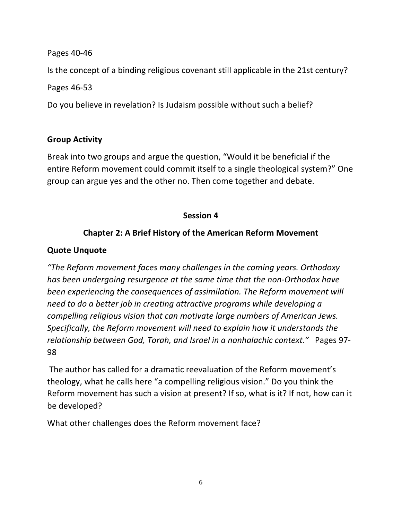#### Pages 40-46

Is the concept of a binding religious covenant still applicable in the 21st century?

Pages 46-53 

Do you believe in revelation? Is Judaism possible without such a belief?

### **Group Activity**

Break into two groups and argue the question, "Would it be beneficial if the entire Reform movement could commit itself to a single theological system?" One group can argue yes and the other no. Then come together and debate.

### **Session 4**

## **Chapter 2: A Brief History of the American Reform Movement**

#### **Quote Unquote**

*"The Reform movement faces many challenges in the coming years. Orthodoxy has* been undergoing resurgence at the same time that the non-Orthodox have *been experiencing the consequences of assimilation. The Reform movement will need to do a better job in creating attractive programs while developing a compelling religious vision that can motivate large numbers of American Jews. Specifically, the Reform movement will need to explain how it understands the relationship between God, Torah, and Israel in a nonhalachic context."* Pages 97-98

The author has called for a dramatic reevaluation of the Reform movement's theology, what he calls here "a compelling religious vision." Do you think the Reform movement has such a vision at present? If so, what is it? If not, how can it be developed?

What other challenges does the Reform movement face?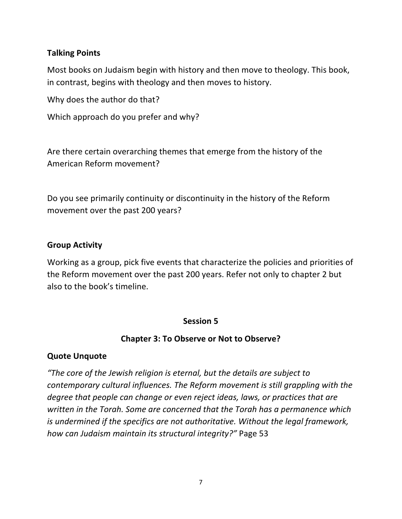#### **Talking Points**

Most books on Judaism begin with history and then move to theology. This book, in contrast, begins with theology and then moves to history.

Why does the author do that?

Which approach do you prefer and why?

Are there certain overarching themes that emerge from the history of the American Reform movement?

Do you see primarily continuity or discontinuity in the history of the Reform movement over the past 200 years?

#### **Group Activity**

Working as a group, pick five events that characterize the policies and priorities of the Reform movement over the past 200 years. Refer not only to chapter 2 but also to the book's timeline.

#### **Session 5**

#### **Chapter 3: To Observe or Not to Observe?**

#### **Quote Unquote**

*"The core of the Jewish religion is eternal, but the details are subject to contemporary cultural influences. The Reform movement is still grappling with the degree that people can change or even reject ideas, laws, or practices that are written in the Torah.* Some are concerned that the Torah has a permanence which *is* undermined if the specifics are not authoritative. Without the legal framework, *how can Judaism maintain its structural integrity?"* Page 53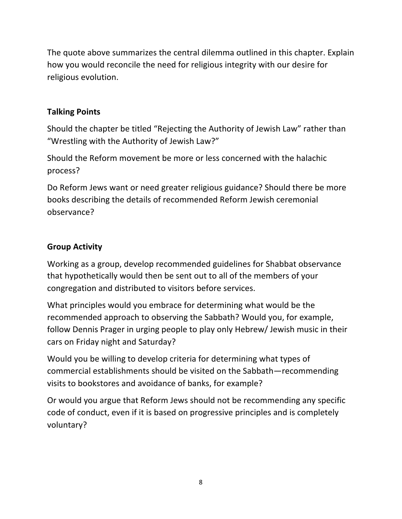The quote above summarizes the central dilemma outlined in this chapter. Explain how you would reconcile the need for religious integrity with our desire for religious evolution.

# **Talking Points**

Should the chapter be titled "Rejecting the Authority of Jewish Law" rather than "Wrestling with the Authority of Jewish Law?"

Should the Reform movement be more or less concerned with the halachic process?

Do Reform Jews want or need greater religious guidance? Should there be more books describing the details of recommended Reform Jewish ceremonial observance?

# **Group Activity**

Working as a group, develop recommended guidelines for Shabbat observance that hypothetically would then be sent out to all of the members of your congregation and distributed to visitors before services.

What principles would you embrace for determining what would be the recommended approach to observing the Sabbath? Would you, for example, follow Dennis Prager in urging people to play only Hebrew/ Jewish music in their cars on Friday night and Saturday?

Would you be willing to develop criteria for determining what types of commercial establishments should be visited on the Sabbath—recommending visits to bookstores and avoidance of banks, for example?

Or would you argue that Reform Jews should not be recommending any specific code of conduct, even if it is based on progressive principles and is completely voluntary?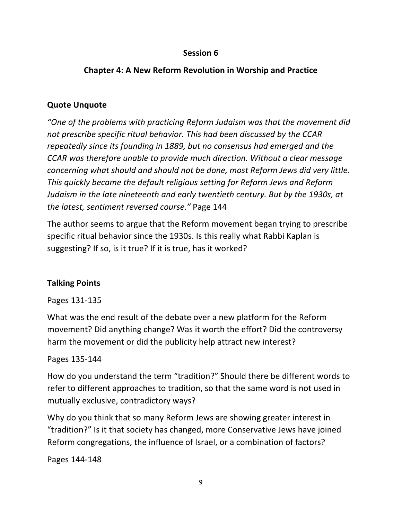# **Chapter 4: A New Reform Revolution in Worship and Practice**

# **Quote Unquote**

"One of the problems with practicing Reform Judaism was that the movement did not prescribe specific ritual behavior. This had been discussed by the CCAR *repeatedly since its founding in 1889, but no consensus had emerged and the CCAR* was therefore unable to provide much direction. Without a clear message *concerning* what should and should not be done, most Reform Jews did very little. *This quickly became the default religious setting for Reform Jews and Reform* Judaism in the late nineteenth and early twentieth century. But by the 1930s, at the latest, sentiment reversed course." Page 144

The author seems to argue that the Reform movement began trying to prescribe specific ritual behavior since the 1930s. Is this really what Rabbi Kaplan is suggesting? If so, is it true? If it is true, has it worked?

# **Talking Points**

Pages 131-135

What was the end result of the debate over a new platform for the Reform movement? Did anything change? Was it worth the effort? Did the controversy harm the movement or did the publicity help attract new interest?

Pages 135-144

How do you understand the term "tradition?" Should there be different words to refer to different approaches to tradition, so that the same word is not used in mutually exclusive, contradictory ways?

Why do you think that so many Reform Jews are showing greater interest in "tradition?" Is it that society has changed, more Conservative Jews have joined Reform congregations, the influence of Israel, or a combination of factors?

Pages 144-148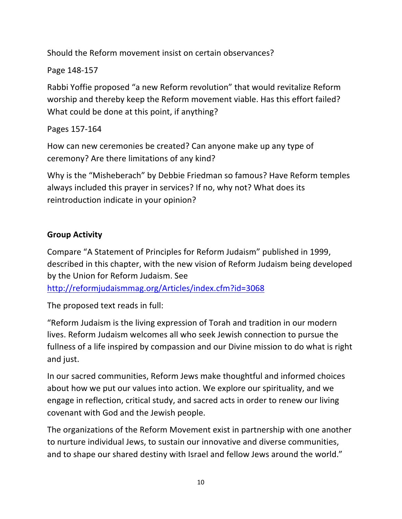Should the Reform movement insist on certain observances?

Page 148-157

Rabbi Yoffie proposed "a new Reform revolution" that would revitalize Reform worship and thereby keep the Reform movement viable. Has this effort failed? What could be done at this point, if anything?

Pages 157-164

How can new ceremonies be created? Can anyone make up any type of ceremony? Are there limitations of any kind?

Why is the "Misheberach" by Debbie Friedman so famous? Have Reform temples always included this prayer in services? If no, why not? What does its reintroduction indicate in your opinion?

# **Group Activity**

Compare "A Statement of Principles for Reform Judaism" published in 1999, described in this chapter, with the new vision of Reform Judaism being developed by the Union for Reform Judaism. See

http://reformjudaismmag.org/Articles/index.cfm?id=3068

The proposed text reads in full:

"Reform Judaism is the living expression of Torah and tradition in our modern lives. Reform Judaism welcomes all who seek Jewish connection to pursue the fullness of a life inspired by compassion and our Divine mission to do what is right and just.

In our sacred communities, Reform Jews make thoughtful and informed choices about how we put our values into action. We explore our spirituality, and we engage in reflection, critical study, and sacred acts in order to renew our living covenant with God and the Jewish people.

The organizations of the Reform Movement exist in partnership with one another to nurture individual Jews, to sustain our innovative and diverse communities, and to shape our shared destiny with Israel and fellow Jews around the world."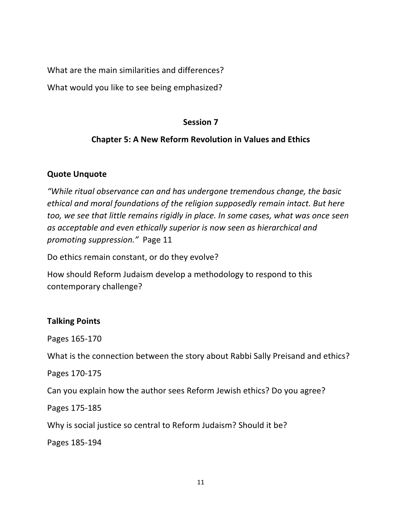What are the main similarities and differences?

What would you like to see being emphasized?

### **Session 7**

# **Chapter 5: A New Reform Revolution in Values and Ethics**

## **Quote Unquote**

*"While ritual observance can and has undergone tremendous change, the basic* ethical and moral foundations of the religion supposedly remain intact. But here too, we see that little remains rigidly in place. In some cases, what was once seen as acceptable and even ethically superior is now seen as hierarchical and *promoting suppression.*" Page 11

Do ethics remain constant, or do they evolve?

How should Reform Judaism develop a methodology to respond to this contemporary challenge?

## **Talking Points**

Pages 165-170 

What is the connection between the story about Rabbi Sally Preisand and ethics?

Pages 170-175 

Can you explain how the author sees Reform Jewish ethics? Do you agree?

Pages 175-185

Why is social justice so central to Reform Judaism? Should it be?

Pages 185-194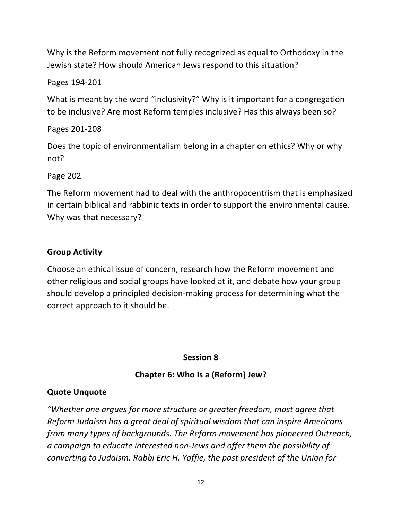Why is the Reform movement not fully recognized as equal to Orthodoxy in the Jewish state? How should American Jews respond to this situation?

### Pages 194-201

What is meant by the word "inclusivity?" Why is it important for a congregation to be inclusive? Are most Reform temples inclusive? Has this always been so?

## Pages 201-208

Does the topic of environmentalism belong in a chapter on ethics? Why or why not? 

Page 202

The Reform movement had to deal with the anthropocentrism that is emphasized in certain biblical and rabbinic texts in order to support the environmental cause. Why was that necessary?

### **Group Activity**

Choose an ethical issue of concern, research how the Reform movement and other religious and social groups have looked at it, and debate how your group should develop a principled decision-making process for determining what the correct approach to it should be.

## **Session 8**

## **Chapter 6: Who Is a (Reform) Jew?**

## **Quote Unquote**

"Whether one argues for more structure or greater freedom, most agree that *Reform Judaism has a great deal of spiritual wisdom that can inspire Americans* from many types of backgrounds. The Reform movement has pioneered Outreach, *a campaign to educate interested non-Jews and offer them the possibility of converting to Judaism. Rabbi Eric H. Yoffie, the past president of the Union for*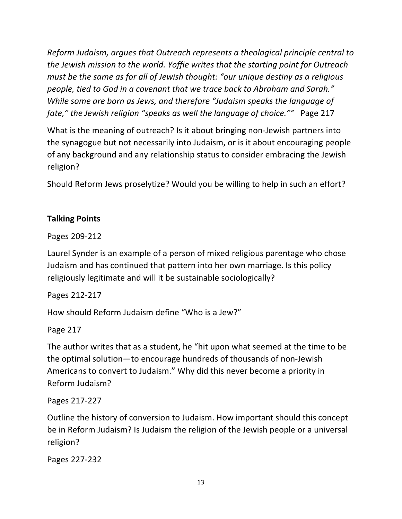*Reform Judaism, argues that Outreach represents a theological principle central to the Jewish mission to the world. Yoffie writes that the starting point for Outreach must be the same as for all of Jewish thought: "our unique destiny as a religious people, tied to God in a covenant that we trace back to Abraham and Sarah." While some are born as Jews, and therefore "Judaism speaks the language of fate,"* the Jewish religion "speaks as well the language of choice."" Page 217

What is the meaning of outreach? Is it about bringing non-Jewish partners into the synagogue but not necessarily into Judaism, or is it about encouraging people of any background and any relationship status to consider embracing the Jewish religion?

Should Reform Jews proselytize? Would you be willing to help in such an effort?

# **Talking Points**

Pages 209-212

Laurel Synder is an example of a person of mixed religious parentage who chose Judaism and has continued that pattern into her own marriage. Is this policy religiously legitimate and will it be sustainable sociologically?

Pages 212-217

How should Reform Judaism define "Who is a Jew?"

Page 217

The author writes that as a student, he "hit upon what seemed at the time to be the optimal solution—to encourage hundreds of thousands of non-Jewish Americans to convert to Judaism." Why did this never become a priority in Reform Judaism?

Pages 217-227

Outline the history of conversion to Judaism. How important should this concept be in Reform Judaism? Is Judaism the religion of the Jewish people or a universal religion?

Pages 227-232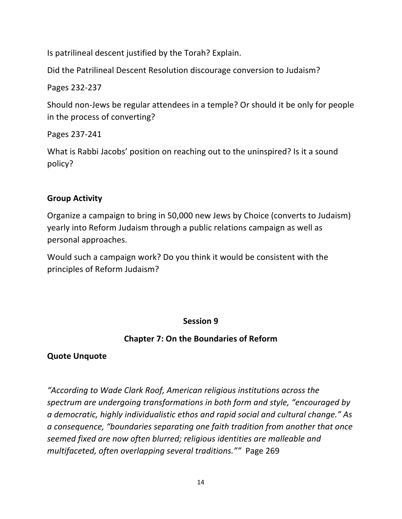Is patrilineal descent justified by the Torah? Explain.

Did the Patrilineal Descent Resolution discourage conversion to Judaism?

# Pages 232-237

Should non-Jews be regular attendees in a temple? Or should it be only for people in the process of converting?

Pages 237-241

What is Rabbi Jacobs' position on reaching out to the uninspired? Is it a sound policy?

# **Group Activity**

Organize a campaign to bring in 50,000 new Jews by Choice (converts to Judaism) yearly into Reform Judaism through a public relations campaign as well as personal approaches.

Would such a campaign work? Do you think it would be consistent with the principles of Reform Judaism?

# **Session 9**

# **Chapter 7: On the Boundaries of Reform**

# **Quote Unquote**

"According to Wade Clark Roof, American religious institutions across the spectrum are undergoing transformations in both form and style, "encouraged by *a democratic, highly individualistic ethos and rapid social and cultural change." As*  a consequence, "boundaries separating one faith tradition from another that once seemed fixed are now often blurred; religious identities are malleable and *multifaceted, often overlapping several traditions.""* Page 269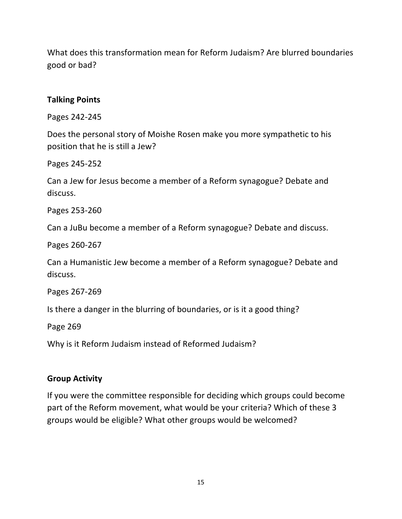What does this transformation mean for Reform Judaism? Are blurred boundaries good or bad?

#### **Talking Points**

Pages 242-245

Does the personal story of Moishe Rosen make you more sympathetic to his position that he is still a Jew?

Pages 245-252

Can a Jew for Jesus become a member of a Reform synagogue? Debate and discuss.

Pages 253-260

Can a JuBu become a member of a Reform synagogue? Debate and discuss.

Pages 260-267

Can a Humanistic Jew become a member of a Reform synagogue? Debate and discuss.

Pages 267-269

Is there a danger in the blurring of boundaries, or is it a good thing?

Page 269

Why is it Reform Judaism instead of Reformed Judaism?

## **Group Activity**

If you were the committee responsible for deciding which groups could become part of the Reform movement, what would be your criteria? Which of these 3 groups would be eligible? What other groups would be welcomed?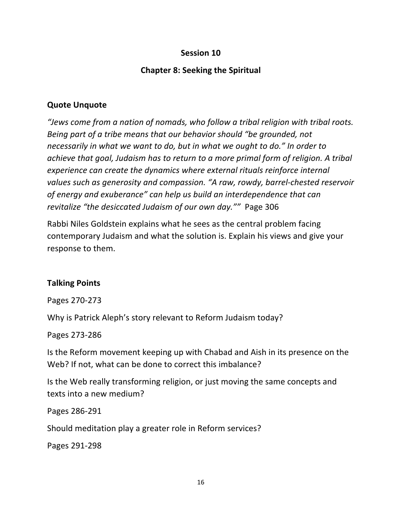### **Chapter 8: Seeking the Spiritual**

#### **Quote Unquote**

*"Jews come from a nation of nomads, who follow a tribal religion with tribal roots. Being part of a tribe means that our behavior should "be grounded, not necessarily in what we want to do, but in what we ought to do."* In order to *achieve that goal, Judaism has to return to a more primal form of religion.* A tribal *experience can create the dynamics where external rituals reinforce internal* values such as generosity and compassion. "A raw, rowdy, barrel-chested reservoir of energy and exuberance" can help us build an interdependence that can *revitalize "the desiccated Judaism of our own day.""* Page 306

Rabbi Niles Goldstein explains what he sees as the central problem facing contemporary Judaism and what the solution is. Explain his views and give your response to them.

#### **Talking Points**

Pages 270-273

Why is Patrick Aleph's story relevant to Reform Judaism today?

Pages 273-286

Is the Reform movement keeping up with Chabad and Aish in its presence on the Web? If not, what can be done to correct this imbalance?

Is the Web really transforming religion, or just moving the same concepts and texts into a new medium?

Pages 286-291

Should meditation play a greater role in Reform services?

Pages 291-298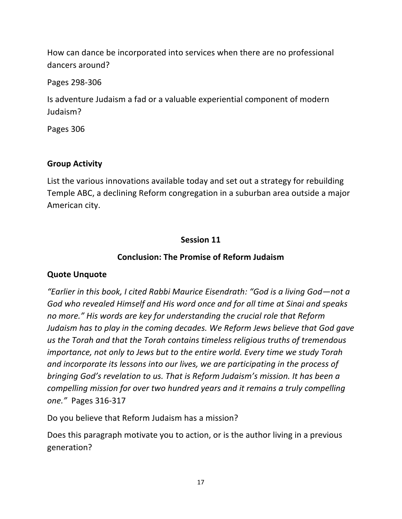How can dance be incorporated into services when there are no professional dancers around?

Pages 298-306

Is adventure Judaism a fad or a valuable experiential component of modern Judaism?

Pages 306

# **Group Activity**

List the various innovations available today and set out a strategy for rebuilding Temple ABC, a declining Reform congregation in a suburban area outside a major American city.

## **Session 11**

# **Conclusion: The Promise of Reform Judaism**

## **Quote Unquote**

*"Earlier in this book, I cited Rabbi Maurice Eisendrath: "God is a living God—not a* God who revealed Himself and His word once and for all time at Sinai and speaks no more." His words are key for understanding the crucial role that Reform *Judaism has to play in the coming decades. We Reform Jews believe that God gave* us the Torah and that the Torah contains timeless religious truths of tremendous *importance, not only to Jews but to the entire world. Every time we study Torah* and incorporate its lessons into our lives, we are participating in the process of *bringing God's revelation to us. That is Reform Judaism's mission. It has been a compelling mission for over two hundred years and it remains a truly compelling one."* Pages 316-317

Do you believe that Reform Judaism has a mission?

Does this paragraph motivate you to action, or is the author living in a previous generation?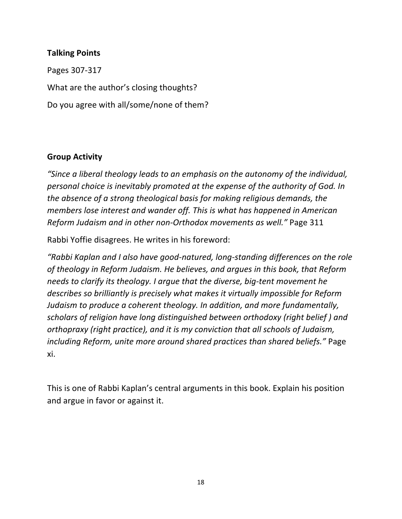#### **Talking Points**

Pages 307-317 What are the author's closing thoughts? Do you agree with all/some/none of them?

#### **Group Activity**

"Since a liberal theology leads to an emphasis on the autonomy of the individual, personal choice is inevitably promoted at the expense of the authority of God. In *the absence of a strong theological basis for making religious demands, the members lose interest and wander off. This is what has happened in American Reform Judaism and in other non-Orthodox movements as well."* Page 311

Rabbi Yoffie disagrees. He writes in his foreword:

"Rabbi Kaplan and I also have good-natured, long-standing differences on the role of theology in Reform Judaism. He believes, and argues in this book, that Reform *needs* to clarify its theology. I argue that the diverse, big-tent movement he describes so brilliantly is precisely what makes it virtually impossible for Reform *Judaism to produce a coherent theology. In addition, and more fundamentally, scholars* of religion have long distinguished between orthodoxy (right belief) and *orthopraxy* (right practice), and it is my conviction that all schools of Judaism, *including Reform, unite more around shared practices than shared beliefs.*" Page xi.

This is one of Rabbi Kaplan's central arguments in this book. Explain his position and argue in favor or against it.